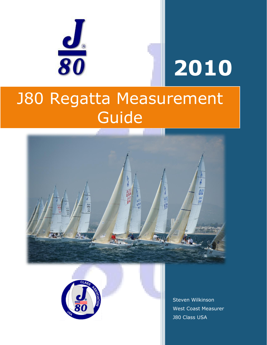

# **2010**

# J80 Regatta Measurement Guide





Steven Wilkinson West Coast Measurer J80 Class USA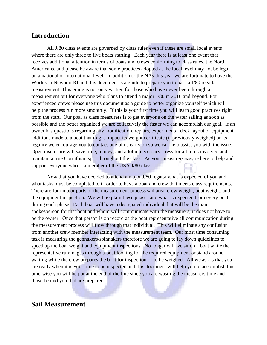#### **Introduction**

All J/80 class events are governed by class rules even if these are small local events where there are only three to five boats starting. Each year there is at least one event that receives additional attention in terms of boats and crews conforming to class rules, the North Americans, and please be aware that some practices adopted at the local level may not be legal on a national or international level. In addition to the NAs this year we are fortunate to have the Worlds in Newport RI and this document is a guide to prepare you to pass a J/80 regatta measurement. This guide is not only written for those who have never been through a measurement but for everyone who plans to attend a major J/80 in 2010 and beyond. For experienced crews please use this document as a guide to better organize yourself which will help the process run more smoothly. If this is your first time you will learn good practices right from the start. Our goal as class measurers is to get everyone on the water sailing as soon as possible and the better organized we are collectively the faster we can accomplish our goal. If an owner has questions regarding any modification, repairs, experimental deck layout or equipment additions made to a boat that might impact its weight certificate (if previously weighed) or its legality we encourage you to contact one of us early on so we can help assist you with the issue. Open disclosure will save time, money, and a lot unnecessary stress for all of us involved and maintain a true Corinthian sprit throughout the class. As your measurers we are here to help and support everyone who is a member of the USA J/80 class.

Now that you have decided to attend a major J/80 regatta what is expected of you and what tasks must be completed to in order to have a boat and crew that meets class requirements. There are four major parts of the measurement process sail area, crew weight, boat weight, and the equipment inspection. We will explain these phases and what is expected from every boat during each phase. Each boat will have a designated individual that will be the main spokesperson for that boat and whom will communicate with the measurers, it does not have to be the owner. Once that person is on record as the boat representative all communication during the measurement process will flow through that individual. This will eliminate any confusion from another crew member interacting with the measurement team. Our most time consuming task is measuring the gennakers/spinnakers therefore we are going to lay down guidelines to speed up the boat weight and equipment inspections. No longer will we sit on a boat while the representative rummages through a boat looking for the required equipment or stand around waiting while the crew prepares the boat for inspection or to be weighed. All we ask is that you are ready when it is your time to be inspected and this document will help you to accomplish this otherwise you will be put at the end of the line since you are wasting the measurers time and those behind you that are prepared.

#### **Sail Measurement**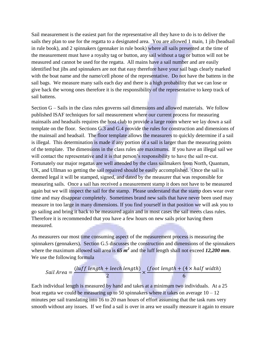Sail measurement is the easiest part for the representative all they have to do is to deliver the sails they plan to use for the regatta to a designated area. You are allowed 1 main, 1 jib (headsail in rule book), and 2 spinnakers (gennaker in rule book) where all sails presented at the time of the measurement must have a royalty tag or button, any sail without a tag or button will not be measured and cannot be used for the regatta. All mains have a sail number and are easily identified but jibs and spinnakers are not that easy therefore have your sail bags clearly marked with the boat name and the name/cell phone of the representative. Do not have the battens in the sail bags. We measure many sails each day and there is a high probability that we can lose or give back the wrong ones therefore it is the responsibility of the representative to keep track of sail battens.

Section G – Sails in the class rules governs sail dimensions and allowed materials. We follow published ISAF techniques for sail measurement where our current process for measuring mainsails and headsails requires the host club to provide a large room where we lay down a sail template on the floor. Sections G.3 and G.4 provide the rules for construction and dimensions of the mainsail and headsail. The floor template allows the measurers to quickly determine if a sail is illegal. This determination is made if any portion of a sail is larger than the measuring points of the template. The dimensions in the class rules are maximums. If you have an illegal sail we will contact the representative and it is that person's responsibility to have the sail re-cut. Fortunately our major regattas are well attended by the class sailmakers from North, Quantum, UK, and Ullman so getting the sail repaired should be easily accomplished. Once the sail is deemed legal it will be stamped, signed, and dated by the measurer that was responsible for measuring sails. Once a sail has received a measurement stamp it does not have to be measured again but we will inspect the sail for the stamp. Please understand that the stamp does wear over time and may disappear completely. Sometimes brand new sails that have never been used may measure in too large in many dimensions. If you find yourself in that position we will ask you to go sailing and bring it back to be measured again and in most cases the sail meets class rules. Therefore it is recommended that you have a few hours on new sails prior having them measured.

As measurers our most time consuming aspect of the measurement process is measuring the spinnakers (gennakers). Section G.5 discusses the construction and dimensions of the spinnakers where the maximum allowed sail area is *65 m<sup>2</sup>* and the luff length shall not exceed *12,200 mm*. We use the following formula

Sail Area = 
$$
\frac{(luff length + leech length)}{2} \times \frac{(foot length + (4 \times half width)}{6}
$$

Each individual length is measured by hand and takes at a minimum two individuals. At a 25 boat regatta we could be measuring up to 50 spinnakers where it takes on average  $10 - 12$ minutes per sail translating into 16 to 20 man hours of effort assuming that the task runs very smooth without any issues. If we find a sail is over in area we usually measure it again to ensure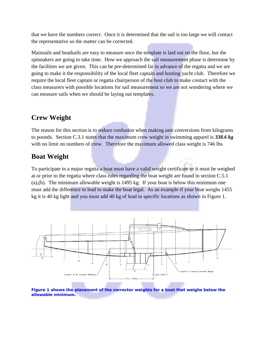that we have the numbers correct. Once it is determined that the sail is too large we will contact the representative so the matter can be corrected.

Mainsails and headsails are easy to measure once the template is laid out on the floor, but the spinnakers are going to take time. How we approach the sail measurement phase is determine by the facilities we are given. This can be pre-determined far in advance of the regatta and we are going to make it the responsibility of the local fleet captain and hosting yacht club. Therefore we require the local fleet captain or regatta chairperson of the host club to make contact with the class measurers with possible locations for sail measurement so we are not wondering where we can measure sails when we should be laying out templates.

## **Crew Weight**

The reason for this section is to reduce confusion when making unit conversions from kilograms to pounds. Section C.3.1 states that the maximum crew weight in swimming apparel is *338.6 kg* with no limit on numbers of crew. Therefore the maximum allowed class weight is 746 lbs.

### **Boat Weight**

To participate in a major regatta a boat must have a valid weight certificate or it must be weighed at or prior to the regatta where class rules regarding the boat weight are found in section C.5.1 (a),(b). The minimum allowable weight is 1495 kg. If your boat is below this minimum one must add the difference in lead to make the boat legal. As an example if your boat weighs 1455 kg it is 40 kg light and you must add 40 kg of lead in specific locations as shown in Figure 1.



**allowable minimum.**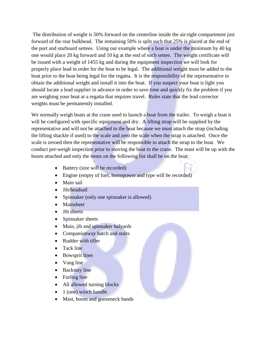The distribution of weight is 50% forward on the centerline inside the air-tight compartment just forward of the rear bulkhead. The remaining 50% is split such that 25% is placed at the end of the port and starboard settees. Using our example where a boat is under the minimum by 40 kg one would place 20 kg forward and 10 kg at the end of each settee. The weight certificate will be issued with a weight of 1455 kg and during the equipment inspection we will look for properly place lead in order for the boat to be legal. The additional weight must be added to the boat prior to the boat being legal for the regatta. It is the responsibility of the representative to obtain the additional weight and install it into the boat. If you suspect your boat is light you should locate a lead supplier in advance in order to save time and quickly fix the problem if you are weighing your boat at a regatta that requires travel. Rules state that the lead corrector weights must be permanently installed.

We normally weigh boats at the crane used to launch a boat from the trailer. To weigh a boat it will be configured with specific equipment and dry. A lifting strap will be supplied by the representative and will not be attached to the boat because we must attach the strap (including the lifting shackle if used) to the scale and zero the scale when the strap is attached. Once the scale is zeroed then the representative will be responsible to attach the strap to the boat. We conduct pre-weigh inspection prior to moving the boat to the crane. The mast will be up with the boom attached and only the items on the following list shall be on the boat:

- Battery (size will be recorded)
- Engine (empty of fuel, horsepower and type will be recorded)
- Main sail
- Jib/headsail
- Spinnaker (only one spinnaker is allowed)
- Mainsheet
- $\bullet$  Jib sheets
- Spinnaker sheets
- Main, jib and spinnaker halyards
- Companionway hatch and stairs
- Rudder with tiller
- Tack line
- Bowsprit lines
- Vang line
- Backstay line
- Furling line
- All allowed turning blocks
- 1 (one) winch handle
- Mast, boom and gooseneck bands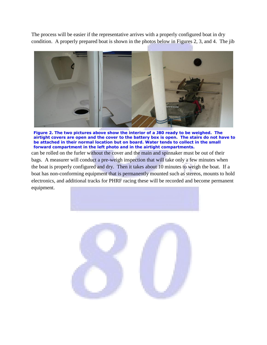The process will be easier if the representative arrives with a properly configured boat in dry condition. A properly prepared boat is shown in the photos below in Figures 2, 3, and 4. The jib



**Figure 2. The two pictures above show the interior of a J80 ready to be weighed. The airtight covers are open and the cover to the battery box is open. The stairs do not have to be attached in their normal location but on board. Water tends to collect in the small forward compartment in the left photo and in the airtight compartments.**

can be rolled on the furler without the cover and the main and spinnaker must be out of their bags. A measurer will conduct a pre-weigh inspection that will take only a few minutes when the boat is properly configured and dry. Then it takes about 10 minutes to weigh the boat. If a boat has non-conforming equipment that is permanently mounted such as stereos, mounts to hold electronics, and additional tracks for PHRF racing these will be recorded and become permanent equipment.

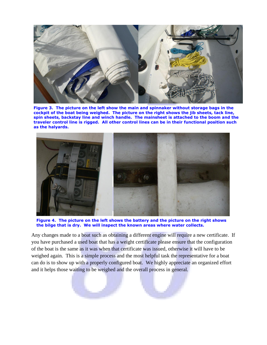

**Figure 3. The picture on the left show the main and spinnaker without storage bags in the cockpit of the boat being weighed. The picture on the right shows the jib sheets, tack line, spin sheets, backstay line and winch handle. The mainsheet is attached to the boom and the traveler control line is rigged. All other control lines can be in their functional position such as the halyards.**



**Figure 4. The picture on the left shows the battery and the picture on the right shows the bilge that is dry. We will inspect the known areas where water collects.** 

Any changes made to a boat such as obtaining a different engine will require a new certificate. If you have purchased a used boat that has a weight certificate please ensure that the configuration of the boat is the same as it was when that certificate was issued, otherwise it will have to be weighed again. This is a simple process and the most helpful task the representative for a boat can do is to show up with a properly configured boat. We highly appreciate an organized effort and it helps those waiting to be weighed and the overall process in general.

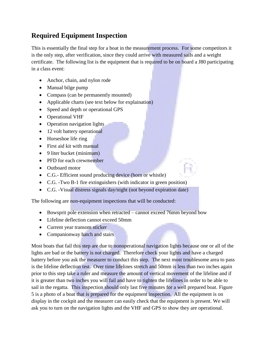# **Required Equipment Inspection**

This is essentially the final step for a boat in the measurement process. For some competitors it is the only step, after verification, since they could arrive with measured sails and a weight certificate. The following list is the equipment that is required to be on board a J80 participating in a class event:

- Anchor, chain, and nylon rode
- Manual bilge pump
- Compass (can be permanently mounted)
- Applicable charts (see text below for explaination)
- Speed and depth or operational GPS
- Operational VHF
- Operation navigation lights
- 12 volt battery operational
- Horseshoe life ring
- First aid kit with manual
- $\bullet$  9 liter bucket (minimum)
- PFD for each crewmember
- Outboard motor
- C.G.- Efficient sound producing device (horn or whistle)
- C.G. -Two B-1 fire extinguishers (with indicator in green position)
- C.G. -Visual distress signals day/night (not beyond expiration date)

The following are non-equipment inspections that will be conducted:

- Bowsprit pole extension when retracted cannot exceed 76mm beyond bow
- Lifeline deflection cannot exceed 50mm
- Current year transom sticker
- Companionway hatch and stairs

Most boats that fail this step are due to nonoperational navigation lights because one or all of the lights are bad or the battery is not charged. Therefore check your lights and have a charged battery before you ask the measurer to conduct this step. The next most troublesome area to pass is the lifeline deflection test. Over time lifelines stretch and 50mm is less than two inches again prior to this step take a ruler and measure the amount of vertical movement of the lifeline and if it is greater than two inches you will fail and have to tighten the lifelines in order to be able to sail in the regatta. This inspection should only last five minutes for a well prepared boat. Figure 5 is a photo of a boat that is prepared for the equipment inspection. All the equipment is on display in the cockpit and the measurer can easily check that the equipment is present. We will ask you to turn on the navigation lights and the VHF and GPS to show they are operational.